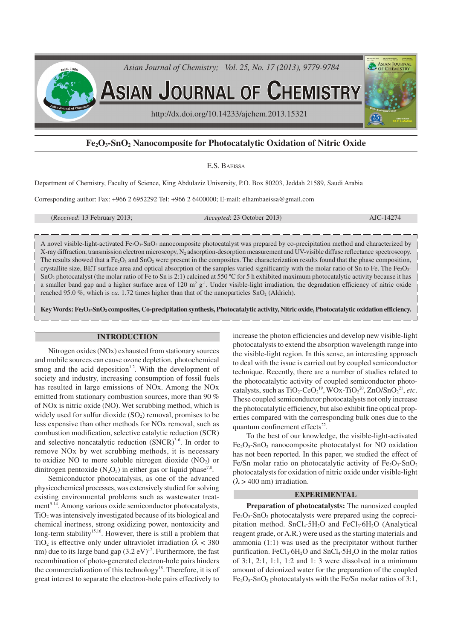

# **Fe2O3-SnO2 Nanocomposite for Photocatalytic Oxidation of Nitric Oxide**

### E.S. BAEISSA

Department of Chemistry, Faculty of Science, King Abdulaziz University, P.O. Box 80203, Jeddah 21589, Saudi Arabia

Corresponding author: Fax: +966 2 6952292 Tel: +966 2 6400000; E-mail: elhambaeissa@gmail.com

(*Received*: 13 February 2013; *Accepted*: 23 October 2013) AJC-14274

A novel visible-light-activated Fe2O3-SnO2 nanocomposite photocatalyst was prepared by co-precipitation method and characterized by X-ray diffraction, transmission electron microscopy, N2 adsorption-desorption measurement and UV-visible diffuse reflectance spectroscopy. The results showed that a Fe<sub>2</sub>O<sub>3</sub> and SnO<sub>2</sub> were present in the composites. The characterization results found that the phase composition, crystallite size, BET surface area and optical absorption of the samples varied significantly with the molar ratio of Sn to Fe. The Fe<sub>2</sub>O<sub>3</sub>- $SnO<sub>2</sub>$  photocatalyst (the molar ratio of Fe to Sn is 2:1) calcined at 550 °C for 5 h exhibited maximum photocatalytic activity because it has a smaller band gap and a higher surface area of 120  $m^2 g^{-1}$ . Under visible-light irradiation, the degradation efficiency of nitric oxide reached 95.0 %, which is *ca.* 1.72 times higher than that of the nanoparticles SnO<sub>2</sub> (Aldrich).

**Key Words: Fe2O3-SnO2 composites, Co-precipitation synthesis, Photocatalytic activity, Nitric oxide, Photocatalytic oxidation efficiency.**

### **INTRODUCTION**

Nitrogen oxides (NOx) exhausted from stationary sources and mobile sources can cause ozone depletion, photochemical smog and the acid deposition<sup>1,2</sup>. With the development of society and industry, increasing consumption of fossil fuels has resulted in large emissions of NOx. Among the NOx emitted from stationary combustion sources, more than 90 % of NOx is nitric oxide (NO). Wet scrubbing method, which is widely used for sulfur dioxide  $(SO<sub>2</sub>)$  removal, promises to be less expensive than other methods for NOx removal, such as combustion modification, selective catalytic reduction (SCR) and selective noncatalytic reduction  $(SNCR)^{3.6}$ . In order to remove NOx by wet scrubbing methods, it is necessary to oxidize NO to more soluble nitrogen dioxide  $(NO<sub>2</sub>)$  or dinitrogen pentoxide ( $N_2O_5$ ) in either gas or liquid phase<sup>7,8</sup>.

Semiconductor photocatalysis, as one of the advanced physicochemical processes, was extensively studied for solving existing environmental problems such as wastewater treatment<sup>9-14</sup>. Among various oxide semiconductor photocatalysts, TiO2 was intensively investigated because of its biological and chemical inertness, strong oxidizing power, nontoxicity and long-term stability<sup>15,16</sup>. However, there is still a problem that TiO<sub>2</sub> is effective only under ultraviolet irradiation ( $\lambda$  < 380) nm) due to its large band gap  $(3.2 \text{ eV})^{17}$ . Furthermore, the fast recombination of photo-generated electron-hole pairs hinders the commercialization of this technology<sup>18</sup>. Therefore, it is of great interest to separate the electron-hole pairs effectively to

increase the photon efficiencies and develop new visible-light photocatalysts to extend the absorption wavelength range into the visible-light region. In this sense, an interesting approach to deal with the issue is carried out by coupled semiconductor technique. Recently, there are a number of studies related to the photocatalytic activity of coupled semiconductor photocatalysts, such as  $TiO_2$ -Ce $O_2^{19}$ , WOx-Ti $O_2^{20}$ , ZnO/Sn $O_2^{21}$ , etc. These coupled semiconductor photocatalysts not only increase the photocatalytic efficiency, but also exhibit fine optical properties compared with the corresponding bulk ones due to the quantum confinement effects $^{22}$ .

To the best of our knowledge, the visible-light-activated  $Fe<sub>2</sub>O<sub>3</sub>$ -SnO<sub>2</sub> nanocomposite photocatalyst for NO oxidation has not been reported. In this paper, we studied the effect of Fe/Sn molar ratio on photocatalytic activity of  $Fe<sub>2</sub>O<sub>3</sub>$ -SnO<sub>2</sub> photocatalysts for oxidation of nitric oxide under visible-light  $(\lambda > 400 \text{ nm})$  irradiation.

## **EXPERIMENTAL**

**Preparation of photocatalysts:** The nanosized coupled  $Fe<sub>2</sub>O<sub>3</sub>$ -SnO<sub>2</sub> photocatalysts were prepared using the coprecipitation method. SnCl<sub>4</sub>·5H<sub>2</sub>O and FeCl<sub>3</sub>·6H<sub>2</sub>O (Analytical reagent grade, or A.R.) were used as the starting materials and ammonia (1:1) was used as the precipitator without further purification. FeCl<sub>3</sub>·6H<sub>2</sub>O and SnCl<sub>4</sub>·5H<sub>2</sub>O in the molar ratios of  $3:1$ ,  $2:1$ ,  $1:1$ ,  $1:2$  and  $1:3$  were dissolved in a minimum amount of deionized water for the preparation of the coupled Fe2O3-SnO2 photocatalysts with the Fe/Sn molar ratios of 3:1,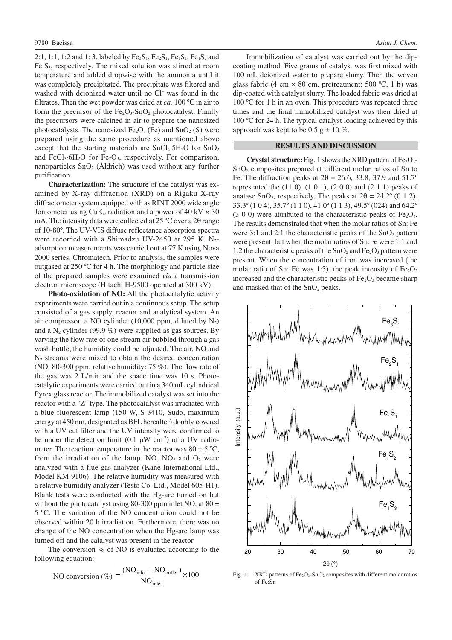2:1, 1:1, 1:2 and 1:3, labeled by  $Fe_3S_1, Fe_2S_1, Fe_1S_1, Fe_1S_2$  and  $Fe<sub>1</sub>S<sub>3</sub>$ , respectively. The mixed solution was stirred at room temperature and added dropwise with the ammonia until it was completely precipitated. The precipitate was filtered and washed with deionized water until no Cl<sup>-</sup> was found in the filtrates. Then the wet powder was dried at *ca.* 100 ºC in air to form the precursor of the  $Fe<sub>2</sub>O<sub>3</sub>$ -SnO<sub>2</sub> photocatalyst. Finally the precursors were calcined in air to prepare the nanosized photocatalysts. The nanosized  $Fe<sub>2</sub>O<sub>3</sub>$  (Fe) and SnO<sub>2</sub> (S) were prepared using the same procedure as mentioned above except that the starting materials are  $SnCl<sub>4</sub>·5H<sub>2</sub>O$  for  $SnO<sub>2</sub>$ and FeCl<sub>3</sub>·6H<sub>2</sub>O for Fe<sub>2</sub>O<sub>3</sub>, respectively. For comparison, nanoparticles  $SnO<sub>2</sub>$  (Aldrich) was used without any further purification.

**Characterization:** The structure of the catalyst was examined by X-ray diffraction (XRD) on a Rigaku X-ray diffractometer system equipped with as RINT 2000 wide angle Joniometer using  $CuK_{\alpha}$  radiation and a power of 40 kV  $\times$  30 mA. The intensity data were collected at 25 ºC over a 2θ range of 10-80º. The UV-VIS diffuse reflectance absorption spectra were recorded with a Shimadzu UV-2450 at 295 K.  $N_2$ adsorption measurements was carried out at 77 K using Nova 2000 series, Chromatech. Prior to analysis, the samples were outgased at 250 ºC for 4 h. The morphology and particle size of the prepared samples were examined *via* a transmission electron microscope (Hitachi H-9500 operated at 300 kV).

**Photo-oxidation of NO:** All the photocatalytic activity experiments were carried out in a continuous setup. The setup consisted of a gas supply, reactor and analytical system. An air compressor, a NO cylinder  $(10,000 \text{ ppm}, \text{ diluted by } N_2)$ and a N<sub>2</sub> cylinder (99.9 %) were supplied as gas sources. By varying the flow rate of one stream air bubbled through a gas wash bottle, the humidity could be adjusted. The air, NO and  $N_2$  streams were mixed to obtain the desired concentration (NO: 80-300 ppm, relative humidity: 75 %). The flow rate of the gas was 2 L/min and the space time was 10 s. Photocatalytic experiments were carried out in a 340 mL cylindrical Pyrex glass reactor. The immobilized catalyst was set into the reactor with a "Z" type. The photocatalyst was irradiated with a blue fluorescent lamp (150 W, S-3410, Sudo, maximum energy at 450 nm, designated as BFL hereafter) doubly covered with a UV cut filter and the UV intensity were confirmed to be under the detection limit (0.1  $\mu$ W cm<sup>-2</sup>) of a UV radiometer. The reaction temperature in the reactor was  $80 \pm 5$  °C, from the irradiation of the lamp. NO,  $NO<sub>2</sub>$  and  $O<sub>2</sub>$  were analyzed with a flue gas analyzer (Kane International Ltd., Model KM-9106). The relative humidity was measured with a relative humidity analyzer (Testo Co. Ltd., Model 605-H1). Blank tests were conducted with the Hg-arc turned on but without the photocatalyst using 80-300 ppm inlet NO, at  $80 \pm$ 5 ºC. The variation of the NO concentration could not be observed within 20 h irradiation. Furthermore, there was no change of the NO concentration when the Hg-arc lamp was turned off and the catalyst was present in the reactor.

The conversion % of NO is evaluated according to the following equation:

NO conversion (
$$
\% = \frac{(NO_{\text{inlet}} - NO_{\text{outlet}})}{NO_{\text{inlet}}} \times 100
$$

Immobilization of catalyst was carried out by the dipcoating method. Five grams of catalyst was first mixed with 100 mL deionized water to prepare slurry. Then the woven glass fabric (4 cm  $\times$  80 cm, pretreatment: 500 °C, 1 h) was dip-coated with catalyst slurry. The loaded fabric was dried at 100 ºC for 1 h in an oven. This procedure was repeated three times and the final immobilized catalyst was then dried at 100 °C for 24 h. The typical catalyst loading achieved by this approach was kept to be  $0.5$  g  $\pm$  10 %.

# **RESULTS AND DISCUSSION**

**Crystal structure:** Fig. 1 shows the XRD pattern of  $Fe<sub>2</sub>O<sub>3</sub>$ -SnO2 composites prepared at different molar ratios of Sn to Fe. The diffraction peaks at  $2\theta = 26.6$ , 33.8, 37.9 and 51.7° represented the (11 0), (1 0 1), (2 0 0) and (2 1 1) peaks of anatase SnO<sub>2</sub>, respectively. The peaks at  $2\theta = 24.2^{\circ}$  (0 1 2), 33.3º (1 0 4), 35.7º (1 1 0), 41.0º (1 1 3), 49.5º (024) and 64.2º  $(3\ 0\ 0)$  were attributed to the characteristic peaks of Fe<sub>2</sub>O<sub>3</sub>. The results demonstrated that when the molar ratios of Sn: Fe were 3:1 and 2:1 the characteristic peaks of the  $SnO<sub>2</sub>$  pattern were present; but when the molar ratios of Sn:Fe were 1:1 and 1:2 the characteristic peaks of the  $SnO<sub>2</sub>$  and  $Fe<sub>2</sub>O<sub>3</sub>$  pattern were present. When the concentration of iron was increased (the molar ratio of Sn: Fe was 1:3), the peak intensity of  $Fe<sub>2</sub>O<sub>3</sub>$ increased and the characteristic peaks of  $Fe<sub>2</sub>O<sub>3</sub>$  became sharp and masked that of the  $SnO<sub>2</sub>$  peaks.



Fig. 1. XRD patterns of Fe<sub>2</sub>O<sub>3</sub>-SnO<sub>2</sub> composites with different molar ratios of Fe:Sn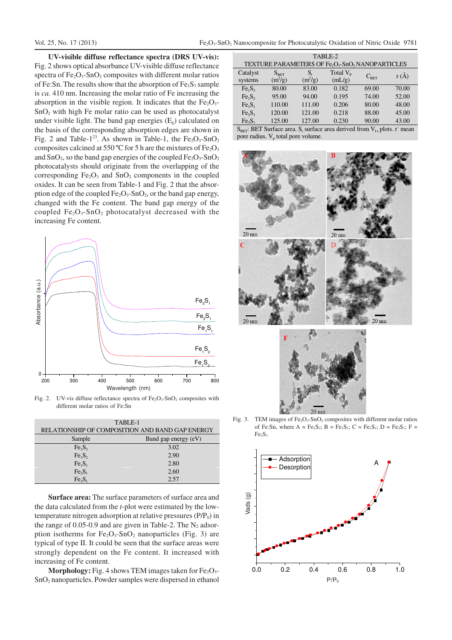**UV-visible diffuse reflectance spectra (DRS UV-vis):** Fig. 2 shows optical absorbance UV-visible diffuse reflectance spectra of  $Fe<sub>2</sub>O<sub>3</sub>$ -SnO<sub>2</sub> composites with different molar ratios of Fe:Sn. The results show that the absorption of  $Fe<sub>1</sub>S<sub>3</sub>$  sample is *ca.* 410 nm. Increasing the molar ratio of Fe increasing the absorption in the visible region. It indicates that the  $Fe<sub>2</sub>O<sub>3</sub>$ - $SnO<sub>2</sub>$  with high Fe molar ratio can be used as photocatalyst under visible light. The band gap energies  $(E_{g})$  calculated on the basis of the corresponding absorption edges are shown in Fig. 2 and Table-1<sup>23</sup>. As shown in Table-1, the  $Fe<sub>2</sub>O<sub>3</sub>$ -SnO<sub>2</sub> composites calcined at 550 °C for 5 h are the mixtures of  $Fe<sub>2</sub>O<sub>3</sub>$ and  $SnO<sub>2</sub>$ , so the band gap energies of the coupled  $Fe<sub>2</sub>O<sub>3</sub>$ -SnO<sub>2</sub> photocatalysts should originate from the overlapping of the corresponding  $Fe<sub>2</sub>O<sub>3</sub>$  and  $SnO<sub>2</sub>$  components in the coupled oxides. It can be seen from Table-1 and Fig. 2 that the absorption edge of the coupled  $Fe<sub>2</sub>O<sub>3</sub>$ -SnO<sub>2</sub>, or the band gap energy, changed with the Fe content. The band gap energy of the coupled  $Fe<sub>2</sub>O<sub>3</sub>$ -SnO<sub>2</sub> photocatalyst decreased with the increasing Fe content.



Fig. 2. UV-vis diffuse reflectance spectra of  $Fe<sub>2</sub>O<sub>3</sub>$ -SnO<sub>2</sub> composites with different molar ratios of Fe:Sn

| TABLE-1                                         |                      |  |  |  |
|-------------------------------------------------|----------------------|--|--|--|
| RELATIONSHIP OF COMPOSITION AND BAND GAP ENERGY |                      |  |  |  |
| Sample                                          | Band gap energy (eV) |  |  |  |
| Fe <sub>1</sub> S <sub>3</sub>                  | 3.02                 |  |  |  |
| Fe <sub>1</sub> S <sub>2</sub>                  | 2.90                 |  |  |  |
| Fe <sub>1</sub> S <sub>1</sub>                  | 2.80                 |  |  |  |
| $Fe_2S_1$                                       | 2.60                 |  |  |  |
| Fe <sub>3</sub> S <sub>1</sub>                  | 2.57                 |  |  |  |

**Surface area:** The surface parameters of surface area and the data calculated from the *t*-plot were estimated by the lowtemperature nitrogen adsorption at relative pressures  $(P/P_0)$  in the range of 0.05-0.9 and are given in Table-2. The  $N_2$  adsorption isotherms for  $Fe<sub>2</sub>O<sub>3</sub>$ -SnO<sub>2</sub> nanoparticles (Fig. 3) are typical of type II. It could be seen that the surface areas were strongly dependent on the Fe content. It increased with increasing of Fe content.

**Morphology:** Fig. 4 shows TEM images taken for  $Fe<sub>2</sub>O<sub>3</sub>$ SnO2 nanoparticles. Powder samples were dispersed in ethanol

| TABLE-2<br>TEXTURE PARAMETERS OF Fe <sub>2</sub> O <sub>3</sub> -SnO <sub>2</sub> NANOPARTICLES |                            |                 |                             |                        |       |  |  |
|-------------------------------------------------------------------------------------------------|----------------------------|-----------------|-----------------------------|------------------------|-------|--|--|
| Catalyst<br>systems                                                                             | $S_{\rm BET}$<br>$(m^2/g)$ | S,<br>$(m^2/g)$ | Total $V_{\rm p}$<br>(mL/g) | $C_{\text{\tiny RFT}}$ | r(A)  |  |  |
| Fe <sub>1</sub> S <sub>3</sub>                                                                  | 80.00                      | 83.00           | 0.182                       | 69.00                  | 70.00 |  |  |
| Fe <sub>1</sub> S <sub>2</sub>                                                                  | 95.00                      | 94.00           | 0.195                       | 74.00                  | 52.00 |  |  |
| Fe <sub>1</sub> S <sub>1</sub>                                                                  | 110.00                     | 111.00          | 0.206                       | 80.00                  | 48.00 |  |  |
| Fe <sub>2</sub> S <sub>1</sub>                                                                  | 120.00                     | 121.00          | 0.218                       | 88.00                  | 45.00 |  |  |
| Fe <sub>3</sub> S <sub>1</sub>                                                                  | 125.00                     | 127.00          | 0.230                       | 90.00                  | 43.00 |  |  |

 $S_{\text{BET}}$ : BET Surface area. S<sub>t</sub> surface area derived from  $V_{l-t}$  plots. r<sup>–</sup> mean pore radius.  $V_p$  total pore volume.



Fig. 3. TEM images of  $Fe<sub>2</sub>O<sub>3</sub>$ -SnO<sub>2</sub> composites with different molar ratios of Fe:Sn, where  $A = Fe<sub>1</sub>S<sub>3</sub>$ ;  $B = Fe<sub>1</sub>S<sub>2</sub>$ ;  $C = Fe<sub>1</sub>S<sub>1</sub>$ ;  $D = Fe<sub>2</sub>S<sub>1</sub>$ ;  $F =$  $Fe<sub>3</sub>S<sub>1</sub>$ 

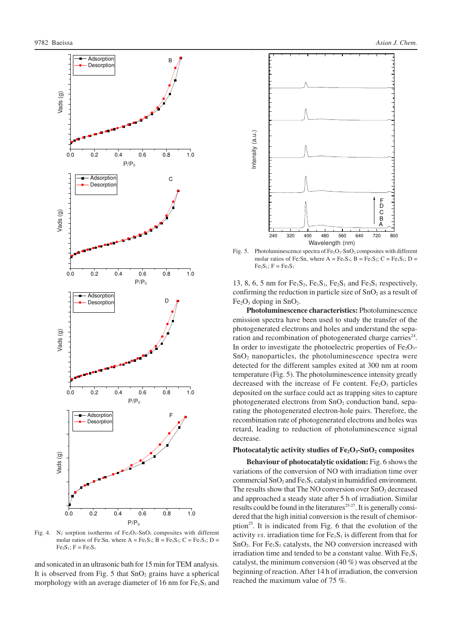Vads (g)<br>Vads

Vads (g)

Vads (g)

Vads (g)<br>.

- Adsorption **Desorption** 

- Adsorption **Desorption** 

- Adsorption Desorption

 Adsorption **Desorption** 





**Photoluminescence characteristics:** Photoluminescence emission spectra have been used to study the transfer of the photogenerated electrons and holes and understand the separation and recombination of photogenerated charge carries $24$ . In order to investigate the photoelectric properties of  $Fe<sub>2</sub>O<sub>3</sub>$ - $SnO<sub>2</sub>$  nanoparticles, the photoluminescence spectra were detected for the different samples exited at 300 nm at room temperature (Fig. 5). The photoluminescence intensity greatly decreased with the increase of Fe content.  $Fe<sub>2</sub>O<sub>3</sub>$  particles deposited on the surface could act as trapping sites to capture photogenerated electrons from SnO<sub>2</sub> conduction band, separating the photogenerated electron-hole pairs. Therefore, the recombination rate of photogenerated electrons and holes was retard, leading to reduction of photoluminescence signal decrease.

240 320 400 480 560 640 720 800 Wavelength (nm)

A B C F<br>D

### **Photocatalytic activity studies of Fe2O3-SnO2 composites**

**Behaviour of photocatalytic oxidation:** Fig. 6 shows the variations of the conversion of NO with irradiation time over commercial  $SnO<sub>2</sub>$  and  $Fe<sub>1</sub>S<sub>1</sub>$  catalyst in humidified environment. The results show that The NO conversion over  $SnO<sub>2</sub>$  decreased and approached a steady state after 5 h of irradiation. Similar results could be found in the literatures<sup>25-27</sup>. It is generally considered that the high initial conversion is the result of chemisorption<sup>25</sup>. It is indicated from Fig. 6 that the evolution of the activity *vs*. irradiation time for  $Fe<sub>1</sub>S<sub>1</sub>$  is different from that for  $SnO<sub>2</sub>$ . For Fe<sub>1</sub>S<sub>1</sub> catalysts, the NO conversion increased with irradiation time and tended to be a constant value. With  $Fe<sub>1</sub>S<sub>1</sub>$ catalyst, the minimum conversion (40 %) was observed at the beginning of reaction. After 14 h of irradiation, the conversion reached the maximum value of 75 %.

Fig. 4. N<sub>2</sub> sorption isotherms of  $Fe<sub>2</sub>O<sub>3</sub>$ -SnO<sub>2</sub> composites with different molar ratios of Fe:Sn, where  $A = Fe<sub>1</sub>S<sub>3</sub>$ ;  $B = Fe<sub>1</sub>S<sub>2</sub>$ ;  $C = Fe<sub>1</sub>S<sub>1</sub>$ ;  $D =$  $Fe<sub>2</sub>S<sub>1</sub>$ ; F =  $Fe<sub>3</sub>S<sub>1</sub>$ 

0.0 0.2 0.4 0.6 0.8 1.0

 $P/P<sub>0</sub>$ 

 $P/P<sub>0</sub>$ 

 $P/P<sub>0</sub>$ 

0.0 0.2 0.4 0.6 0.8 1.0

 $P/P<sub>0</sub>$ 

F

and sonicated in an ultrasonic bath for 15 min for TEM analysis. It is observed from Fig. 5 that  $SnO<sub>2</sub>$  grains have a spherical morphology with an average diameter of 16 nm for  $Fe<sub>1</sub>S<sub>3</sub>$  and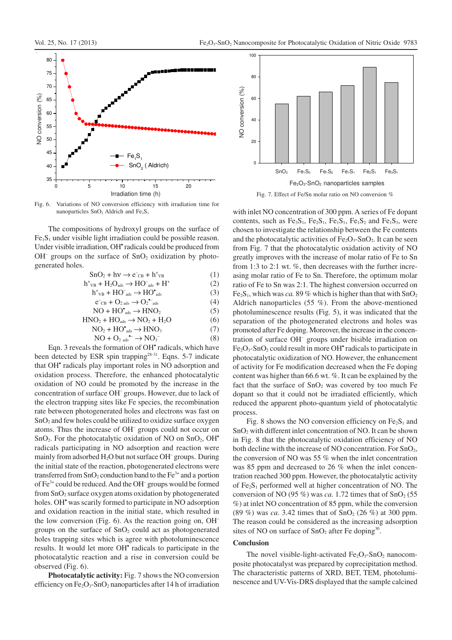

Fig. 6. Variations of NO conversion efficiency with irradiation time for nanoparticles SnO<sub>2</sub> Aldrich and Fe<sub>1</sub>S<sub>1</sub>

The compositions of hydroxyl groups on the surface of  $Fe<sub>1</sub>S<sub>1</sub>$  under visible light irradiation could be possible reason. Under visible irradiation, OH<sup>\*</sup> radicals could be produced from  $OH^-$  groups on the surface of  $SnO<sub>2</sub>$  oxidization by photogenerated holes.

$$
SnO2 + h\nu \rightarrow e-CB + h+VB
$$
 (1)

$$
h^{+}{}_{VB} + H_{2}O_{ads} \rightarrow HO^{-}{}_{ads} + H^{+}
$$
 (2)

$$
h^+{}_{VB} + HO^-{}_{ads} \rightarrow HO^{\bullet}{}_{ads} \tag{3}
$$

$$
e^-_{CB} + O_{2 \text{ ads}} \rightarrow O_2^{e^-}_{ads} \tag{4}
$$

$$
NO + HO*_{ads} \rightarrow HNO2
$$
 (5)

$$
HNO2 + HOads \rightarrow NO2 + H2O
$$
 (6)  
NO<sub>2</sub> + HO<sub>ads</sub> \rightarrow HNO<sub>3</sub> (7)

$$
NO + O2 as6 \rightarrow NO3
$$
 (8)

Eqn. 3 reveals the formation of OH<sup>\*</sup> radicals, which have been detected by ESR spin trapping<sup>28-31</sup>. Eqns. 5-7 indicate that OH<sup>\*</sup> radicals play important roles in NO adsorption and oxidation process. Therefore, the enhanced photocatalytic oxidation of NO could be promoted by the increase in the concentration of surface OH– groups. However, due to lack of the electron trapping sites like Fe species, the recombination rate between photogenerated holes and electrons was fast on  $SnO<sub>2</sub>$  and few holes could be utilized to oxidize surface oxygen atoms. Thus the increase of OH– groups could not occur on  $SnO<sub>2</sub>$ . For the photocatalytic oxidation of NO on  $SnO<sub>2</sub>$ , OH<sup>\*</sup> radicals participating in NO adsorption and reaction were mainly from adsorbed H<sub>2</sub>O but not surface OH<sup>-</sup> groups. During the initial state of the reaction, photogenerated electrons were transferred from  $SnO<sub>2</sub>$  conduction band to the  $Fe<sup>3+</sup>$  and a portion of Fe<sup>3+</sup> could be reduced. And the OH<sup>-</sup> groups would be formed from SnO2 surface oxygen atoms oxidation by photogenerated holes. OH<sup>\*</sup> was scarily formed to participate in NO adsorption and oxidation reaction in the initial state, which resulted in the low conversion (Fig. 6). As the reaction going on, OH– groups on the surface of  $SnO<sub>2</sub>$  could act as photogenerated holes trapping sites which is agree with photoluminescence results. It would let more OH<sup>\*</sup> radicals to participate in the photocatalytic reaction and a rise in conversion could be observed (Fig. 6).

**Photocatalytic activity:** Fig. 7 shows the NO conversion efficiency on  $Fe<sub>2</sub>O<sub>3</sub>$ -SnO<sub>2</sub> nanoparticles after 14 h of irradiation



with inlet NO concentration of 300 ppm. A series of Fe dopant contents, such as  $Fe<sub>3</sub>S<sub>1</sub>$ ,  $Fe<sub>2</sub>S<sub>1</sub>$ ,  $Fe<sub>1</sub>S<sub>1</sub>$ ,  $Fe<sub>1</sub>S<sub>2</sub>$  and  $Fe<sub>1</sub>S<sub>3</sub>$ , were chosen to investigate the relationship between the Fe contents and the photocatalytic activities of  $Fe<sub>2</sub>O<sub>3</sub>$ -SnO<sub>2</sub>. It can be seen from Fig. 7 that the photocatalytic oxidation activity of NO greatly improves with the increase of molar ratio of Fe to Sn from 1:3 to 2:1 wt. %, then decreases with the further increasing molar ratio of Fe to Sn. Therefore, the optimum molar ratio of Fe to Sn was 2:1. The highest conversion occurred on Fe<sub>2</sub>S<sub>1</sub>, which was *ca*. 89 % which is higher than that with  $SnO<sub>2</sub>$ Aldrich nanoparticles (55 %). From the above-mentioned photoluminescence results (Fig. 5), it was indicated that the separation of the photogenerated electrons and holes was promoted after Fe doping. Moreover, the increase in the concentration of surface OH– groups under bisible irradiation on  $Fe<sub>2</sub>O<sub>3</sub>$ -SnO<sub>2</sub> could result in more OH $^{\bullet}$  radicals to participate in photocatalytic oxidization of NO. However, the enhancement of activity for Fe modification decreased when the Fe doping content was higher than 66.6 wt. %. It can be explained by the fact that the surface of  $SnO<sub>2</sub>$  was covered by too much Fe dopant so that it could not be irradiated efficiently, which reduced the apparent photo-quantum yield of photocatalytic process.

Fig. 8 shows the NO conversion efficiency on  $Fe<sub>2</sub>S<sub>1</sub>$  and SnO2 with different inlet concentration of NO. It can be shown in Fig. 8 that the photocatalytic oxidation efficiency of NO both decline with the increase of NO concentration. For SnO<sub>2</sub>, the conversion of NO was 55 % when the inlet concentration was 85 ppm and decreased to 26 % when the inlet concentration reached 300 ppm. However, the photocatalytic activity of  $Fe<sub>2</sub>S<sub>1</sub>$  performed well at higher concentration of NO. The conversion of NO (95 %) was *ca*. 1.72 times that of  $SnO<sub>2</sub>$  (55 %) at inlet NO concentration of 85 ppm, while the conversion (89 %) was *ca.* 3.42 times that of  $SnO<sub>2</sub>$  (26 %) at 300 ppm. The reason could be considered as the increasing adsorption sites of NO on surface of  $SnO<sub>2</sub>$  after Fe doping<sup>30</sup>.

#### **Conclusion**

The novel visible-light-activated  $Fe<sub>2</sub>O<sub>3</sub>$ -SnO<sub>2</sub> nanocomposite photocatalyst was prepared by coprecipitation method. The characteristic patterns of XRD, BET, TEM, photoluminescence and UV-Vis-DRS displayed that the sample calcined